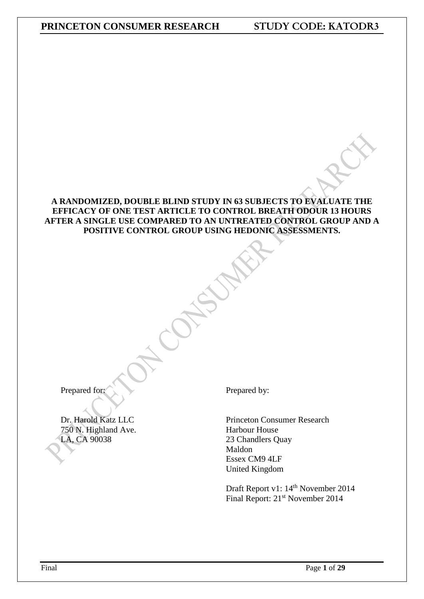## **A RANDOMIZED, DOUBLE BLIND STUDY IN 63 SUBJECTS TO EVALUATE THE EFFICACY OF ONE TEST ARTICLE TO CONTROL BREATH ODOUR 13 HOURS AFTER A SINGLE USE COMPARED TO AN UNTREATED CONTROL GROUP AND A POSITIVE CONTROL GROUP USING HEDONIC ASSESSMENTS.**

Prepared for:

Dr. Harold Katz LLC 750 N. Highland Ave. LA, CA 90038

Prepared by:

Princeton Consumer Research Harbour House 23 Chandlers Quay Maldon Essex CM9 4LF United Kingdom

Draft Report v1:  $14<sup>th</sup>$  November 2014 Final Report: 21<sup>st</sup> November 2014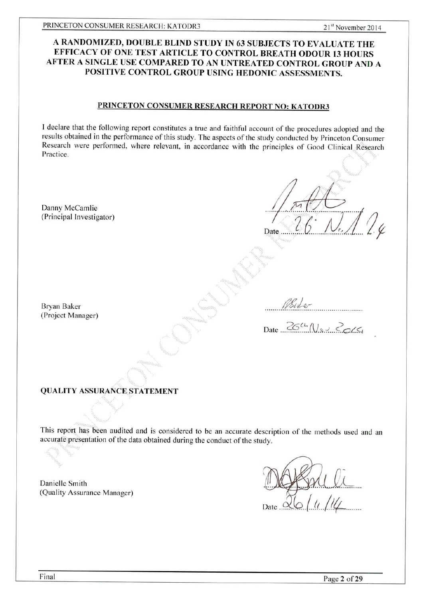## A RANDOMIZED, DOUBLE BLIND STUDY IN 63 SUBJECTS TO EVALUATE THE EFFICACY OF ONE TEST ARTICLE TO CONTROL BREATH ODOUR 13 HOURS AFTER A SINGLE USE COMPARED TO AN UNTREATED CONTROL GROUP AND A POSITIVE CONTROL GROUP USING HEDONIC ASSESSMENTS.

## PRINCETON CONSUMER RESEARCH REPORT NO: KATODR3

I declare that the following report constitutes a true and faithful account of the procedures adopted and the results obtained in the performance of this study. The aspects of the study conducted by Princeton Consumer Research were performed, where relevant, in accordance with the principles of Good Clinical Research Practice.

Danny McCamlie (Principal Investigator)

Bryan Baker (Project Manager)

Date

Date  $264$  (Usu 2015)

## **QUALITY ASSURANCE STATEMENT**

This report has been audited and is considered to be an accurate description of the methods used and an accurate presentation of the data obtained during the conduct of the study.

Danielle Smith (Quality Assurance Manager)

Date ..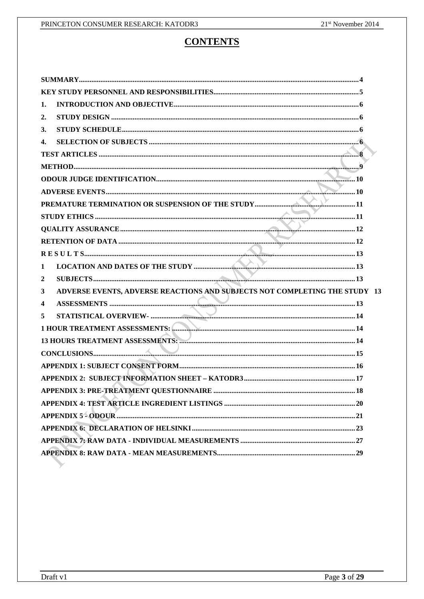# **CONTENTS**

| 1.             |                                                                            |  |
|----------------|----------------------------------------------------------------------------|--|
| 2.             |                                                                            |  |
| 3.             |                                                                            |  |
| $\mathbf{4}$ . |                                                                            |  |
|                |                                                                            |  |
|                |                                                                            |  |
|                |                                                                            |  |
|                |                                                                            |  |
|                |                                                                            |  |
|                |                                                                            |  |
|                |                                                                            |  |
|                |                                                                            |  |
|                |                                                                            |  |
| $\mathbf{1}$   |                                                                            |  |
| $\overline{2}$ |                                                                            |  |
| 3              | ADVERSE EVENTS, ADVERSE REACTIONS AND SUBJECTS NOT COMPLETING THE STUDY 13 |  |
| 4              |                                                                            |  |
| 5              |                                                                            |  |
|                |                                                                            |  |
|                |                                                                            |  |
|                |                                                                            |  |
|                |                                                                            |  |
|                |                                                                            |  |
|                |                                                                            |  |
|                |                                                                            |  |
|                |                                                                            |  |
|                |                                                                            |  |
|                |                                                                            |  |
|                |                                                                            |  |
|                |                                                                            |  |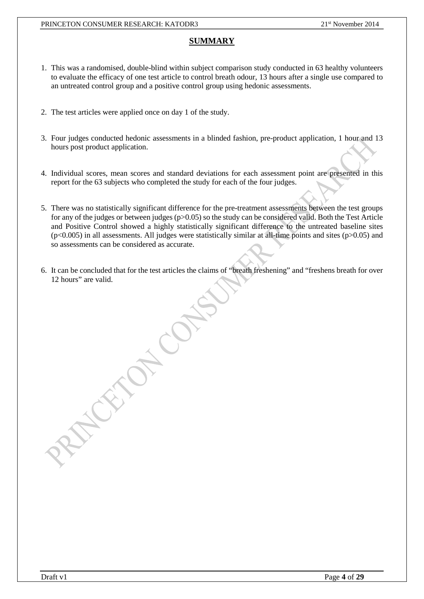## **SUMMARY**

- <span id="page-3-0"></span>1. This was a randomised, double-blind within subject comparison study conducted in 63 healthy volunteers to evaluate the efficacy of one test article to control breath odour, 13 hours after a single use compared to an untreated control group and a positive control group using hedonic assessments.
- 2. The test articles were applied once on day 1 of the study.
- 3. Four judges conducted hedonic assessments in a blinded fashion, pre-product application, 1 hour and 13 hours post product application.
- 4. Individual scores, mean scores and standard deviations for each assessment point are presented in this report for the 63 subjects who completed the study for each of the four judges.
- 5. There was no statistically significant difference for the pre-treatment assessments between the test groups for any of the judges or between judges (p>0.05) so the study can be considered valid. Both the Test Article and Positive Control showed a highly statistically significant difference to the untreated baseline sites (p<0.005) in all assessments. All judges were statistically similar at all-time points and sites (p>0.05) and so assessments can be considered as accurate.
- 6. It can be concluded that for the test articles the claims of "breath freshening" and "freshens breath for over 12 hours" are valid.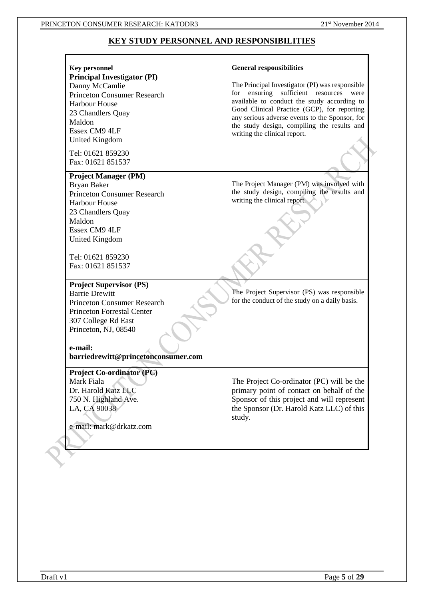## **KEY STUDY PERSONNEL AND RESPONSIBILITIES**

<span id="page-4-0"></span>

| <b>Key personnel</b>                                                                                                                                                                                                                | <b>General responsibilities</b>                                                                                                                                                                                                                                                                                                |
|-------------------------------------------------------------------------------------------------------------------------------------------------------------------------------------------------------------------------------------|--------------------------------------------------------------------------------------------------------------------------------------------------------------------------------------------------------------------------------------------------------------------------------------------------------------------------------|
| <b>Principal Investigator (PI)</b><br>Danny McCamlie<br><b>Princeton Consumer Research</b><br>Harbour House<br>23 Chandlers Quay<br>Maldon<br>Essex CM9 4LF<br><b>United Kingdom</b>                                                | The Principal Investigator (PI) was responsible<br>ensuring sufficient resources<br>for<br>were<br>available to conduct the study according to<br>Good Clinical Practice (GCP), for reporting<br>any serious adverse events to the Sponsor, for<br>the study design, compiling the results and<br>writing the clinical report. |
| Tel: 01621 859230<br>Fax: 01621 851537                                                                                                                                                                                              |                                                                                                                                                                                                                                                                                                                                |
| <b>Project Manager (PM)</b><br>Bryan Baker<br><b>Princeton Consumer Research</b><br><b>Harbour House</b><br>23 Chandlers Quay<br>Maldon<br>Essex CM9 4LF<br><b>United Kingdom</b><br>Tel: 01621 859230<br>Fax: 01621 851537         | The Project Manager (PM) was involved with<br>the study design, compiling the results and<br>writing the clinical report.                                                                                                                                                                                                      |
| <b>Project Supervisor (PS)</b><br><b>Barrie Drewitt</b><br><b>Princeton Consumer Research</b><br><b>Princeton Forrestal Center</b><br>307 College Rd East<br>Princeton, NJ, 08540<br>e-mail:<br>barriedrewitt@princetonconsumer.com | The Project Supervisor (PS) was responsible<br>for the conduct of the study on a daily basis.                                                                                                                                                                                                                                  |
| <b>Project Co-ordinator (PC)</b><br>Mark Fiala<br>Dr. Harold Katz LLC<br>750 N. Highland Ave.<br>LA, CA 90038<br>e-mail: mark@drkatz.com                                                                                            | The Project Co-ordinator (PC) will be the<br>primary point of contact on behalf of the<br>Sponsor of this project and will represent<br>the Sponsor (Dr. Harold Katz LLC) of this<br>study.                                                                                                                                    |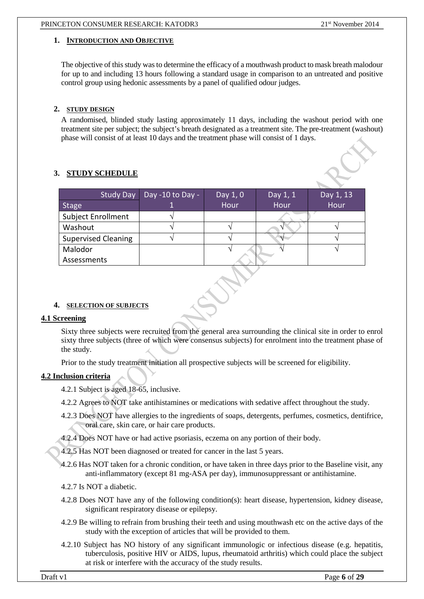## <span id="page-5-0"></span>**1. INTRODUCTION AND OBJECTIVE**

The objective of this study was to determine the efficacy of a mouthwash product to mask breath malodour for up to and including 13 hours following a standard usage in comparison to an untreated and positive control group using hedonic assessments by a panel of qualified odour judges.

## <span id="page-5-1"></span>**2. STUDY DESIGN**

A randomised, blinded study lasting approximately 11 days, including the washout period with one treatment site per subject; the subject's breath designated as a treatment site. The pre-treatment (washout) phase will consist of at least 10 days and the treatment phase will consist of 1 days.

## <span id="page-5-2"></span>**3. STUDY SCHEDULE**

| <b>Study Day</b><br><b>Stage</b> | Day -10 to Day - | Day 1, 0<br>Hour | Day 1, 1<br>Hour | Day 1, 13<br>Hour |
|----------------------------------|------------------|------------------|------------------|-------------------|
| <b>Subject Enrollment</b>        |                  |                  |                  |                   |
| Washout                          |                  |                  |                  |                   |
| <b>Supervised Cleaning</b>       |                  |                  |                  |                   |
| Malodor                          |                  |                  |                  |                   |
| Assessments                      |                  |                  |                  |                   |

#### <span id="page-5-3"></span>**4. SELECTION OF SUBJECTS**

#### **4.1 Screening**

Sixty three subjects were recruited from the general area surrounding the clinical site in order to enrol sixty three subjects (three of which were consensus subjects) for enrolment into the treatment phase of the study.

Prior to the study treatment initiation all prospective subjects will be screened for eligibility.

## **4.2 Inclusion criteria**

- 4.2.1 Subject is aged 18-65, inclusive.
- 4.2.2 Agrees to NOT take antihistamines or medications with sedative affect throughout the study.
- 4.2.3 Does NOT have allergies to the ingredients of soaps, detergents, perfumes, cosmetics, dentifrice, oral care, skin care, or hair care products.
- 4.2.4 Does NOT have or had active psoriasis, eczema on any portion of their body.

4.2.5 Has NOT been diagnosed or treated for cancer in the last 5 years.

- 4.2.6 Has NOT taken for a chronic condition, or have taken in three days prior to the Baseline visit, any anti-inflammatory (except 81 mg-ASA per day), immunosuppressant or antihistamine.
- 4.2.7 Is NOT a diabetic.
- 4.2.8 Does NOT have any of the following condition(s): heart disease, hypertension, kidney disease, significant respiratory disease or epilepsy.
- 4.2.9 Be willing to refrain from brushing their teeth and using mouthwash etc on the active days of the study with the exception of articles that will be provided to them.
- 4.2.10 Subject has NO history of any significant immunologic or infectious disease (e.g. hepatitis, tuberculosis, positive HIV or AIDS, lupus, rheumatoid arthritis) which could place the subject at risk or interfere with the accuracy of the study results.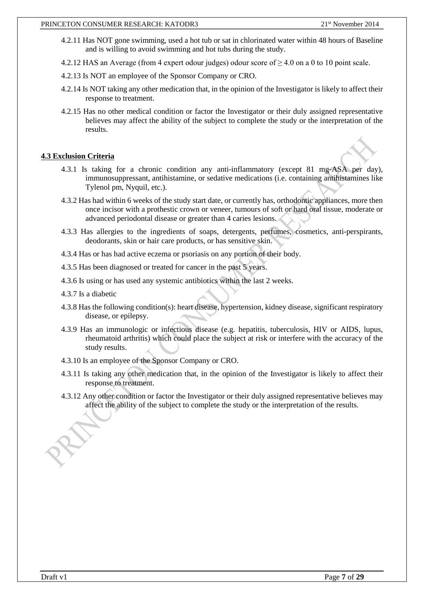#### PRINCETON CONSUMER RESEARCH: KATODR3 21st November 2014

- 4.2.11 Has NOT gone swimming, used a hot tub or sat in chlorinated water within 48 hours of Baseline and is willing to avoid swimming and hot tubs during the study.
- 4.2.12 HAS an Average (from 4 expert odour judges) odour score of  $\geq 4.0$  on a 0 to 10 point scale.
- 4.2.13 Is NOT an employee of the Sponsor Company or CRO.
- 4.2.14 Is NOT taking any other medication that, in the opinion of the Investigator is likely to affect their response to treatment.
- 4.2.15 Has no other medical condition or factor the Investigator or their duly assigned representative believes may affect the ability of the subject to complete the study or the interpretation of the results.

## **4.3 Exclusion Criteria**

- 4.3.1 Is taking for a chronic condition any anti-inflammatory (except 81 mg-ASA per day), immunosuppressant, antihistamine, or sedative medications (i.e. containing antihistamines like Tylenol pm, Nyquil, etc.).
- 4.3.2 Has had within 6 weeks of the study start date, or currently has, orthodontic appliances, more then once incisor with a prothestic crown or veneer, tumours of soft or hard oral tissue, moderate or advanced periodontal disease or greater than 4 caries lesions.
- 4.3.3 Has allergies to the ingredients of soaps, detergents, perfumes, cosmetics, anti-perspirants, deodorants, skin or hair care products, or has sensitive skin.
- 4.3.4 Has or has had active eczema or psoriasis on any portion of their body.
- 4.3.5 Has been diagnosed or treated for cancer in the past 5 years.
- 4.3.6 Is using or has used any systemic antibiotics within the last 2 weeks.
- 4.3.7 Is a diabetic
- 4.3.8 Has the following condition(s): heart disease, hypertension, kidney disease, significant respiratory disease, or epilepsy.
- 4.3.9 Has an immunologic or infectious disease (e.g. hepatitis, tuberculosis, HIV or AIDS, lupus, rheumatoid arthritis) which could place the subject at risk or interfere with the accuracy of the study results.
- 4.3.10 Is an employee of the Sponsor Company or CRO.
- 4.3.11 Is taking any other medication that, in the opinion of the Investigator is likely to affect their response to treatment.
- 4.3.12 Any other condition or factor the Investigator or their duly assigned representative believes may affect the ability of the subject to complete the study or the interpretation of the results.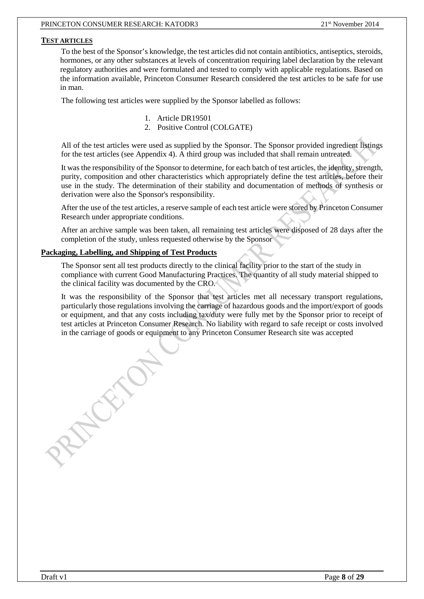#### <span id="page-7-0"></span>**TEST ARTICLES**

To the best of the Sponsor's knowledge, the test articles did not contain antibiotics, antiseptics, steroids, hormones, or any other substances at levels of concentration requiring label declaration by the relevant regulatory authorities and were formulated and tested to comply with applicable regulations. Based on the information available, Princeton Consumer Research considered the test articles to be safe for use in man.

The following test articles were supplied by the Sponsor labelled as follows:

- 1. Article DR19501
- 2. Positive Control (COLGATE)

All of the test articles were used as supplied by the Sponsor. The Sponsor provided ingredient listings for the test articles (see Appendix 4). A third group was included that shall remain untreated.

It was the responsibility of the Sponsor to determine, for each batch of test articles, the identity, strength, purity, composition and other characteristics which appropriately define the test articles, before their use in the study. The determination of their stability and documentation of methods of synthesis or derivation were also the Sponsor's responsibility.

After the use of the test articles, a reserve sample of each test article were stored by Princeton Consumer Research under appropriate conditions.

After an archive sample was been taken, all remaining test articles were disposed of 28 days after the completion of the study, unless requested otherwise by the Sponsor

#### **Packaging, Labelling, and Shipping of Test Products**

The Sponsor sent all test products directly to the clinical facility prior to the start of the study in compliance with current Good Manufacturing Practices. The quantity of all study material shipped to the clinical facility was documented by the CRO.

It was the responsibility of the Sponsor that test articles met all necessary transport regulations, particularly those regulations involving the carriage of hazardous goods and the import/export of goods or equipment, and that any costs including tax/duty were fully met by the Sponsor prior to receipt of test articles at Princeton Consumer Research. No liability with regard to safe receipt or costs involved in the carriage of goods or equipment to any Princeton Consumer Research site was accepted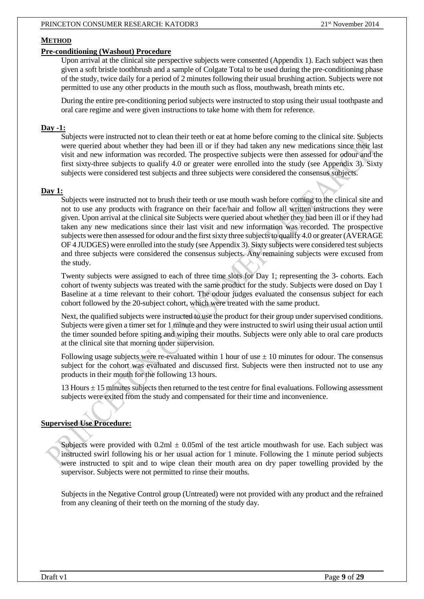#### <span id="page-8-0"></span>**METHOD**

#### **Pre-conditioning (Washout) Procedure**

Upon arrival at the clinical site perspective subjects were consented (Appendix 1). Each subject was then given a soft bristle toothbrush and a sample of Colgate Total to be used during the pre-conditioning phase of the study, twice daily for a period of 2 minutes following their usual brushing action. Subjects were not permitted to use any other products in the mouth such as floss, mouthwash, breath mints etc.

During the entire pre-conditioning period subjects were instructed to stop using their usual toothpaste and oral care regime and were given instructions to take home with them for reference.

## **Day -1:**

Subjects were instructed not to clean their teeth or eat at home before coming to the clinical site. Subjects were queried about whether they had been ill or if they had taken any new medications since their last visit and new information was recorded. The prospective subjects were then assessed for odour and the first sixty-three subjects to qualify 4.0 or greater were enrolled into the study (see Appendix 3). Sixty subjects were considered test subjects and three subjects were considered the consensus subjects.

## **Day 1:**

Subjects were instructed not to brush their teeth or use mouth wash before coming to the clinical site and not to use any products with fragrance on their face/hair and follow all written instructions they were given. Upon arrival at the clinical site Subjects were queried about whether they had been ill or if they had taken any new medications since their last visit and new information was recorded. The prospective subjects were then assessed for odour and the first sixty three subjects to qualify 4.0 or greater (AVERAGE OF 4 JUDGES) were enrolled into the study (see Appendix 3). Sixty subjects were considered test subjects and three subjects were considered the consensus subjects. Any remaining subjects were excused from the study.

Twenty subjects were assigned to each of three time slots for Day 1; representing the 3- cohorts. Each cohort of twenty subjects was treated with the same product for the study. Subjects were dosed on Day 1 Baseline at a time relevant to their cohort. The odour judges evaluated the consensus subject for each cohort followed by the 20-subject cohort, which were treated with the same product.

Next, the qualified subjects were instructed to use the product for their group under supervised conditions. Subjects were given a timer set for 1 minute and they were instructed to swirl using their usual action until the timer sounded before spiting and wiping their mouths. Subjects were only able to oral care products at the clinical site that morning under supervision.

Following usage subjects were re-evaluated within 1 hour of use  $\pm$  10 minutes for odour. The consensus subject for the cohort was evaluated and discussed first. Subjects were then instructed not to use any products in their mouth for the following 13 hours.

13 Hours  $\pm$  15 minutes subjects then returned to the test centre for final evaluations. Following assessment subjects were exited from the study and compensated for their time and inconvenience.

## **Supervised Use Procedure:**

Subjects were provided with  $0.2 \text{ml} \pm 0.05 \text{ml}$  of the test article mouthwash for use. Each subject was instructed swirl following his or her usual action for 1 minute. Following the 1 minute period subjects were instructed to spit and to wipe clean their mouth area on dry paper towelling provided by the supervisor. Subjects were not permitted to rinse their mouths.

Subjects in the Negative Control group (Untreated) were not provided with any product and the refrained from any cleaning of their teeth on the morning of the study day.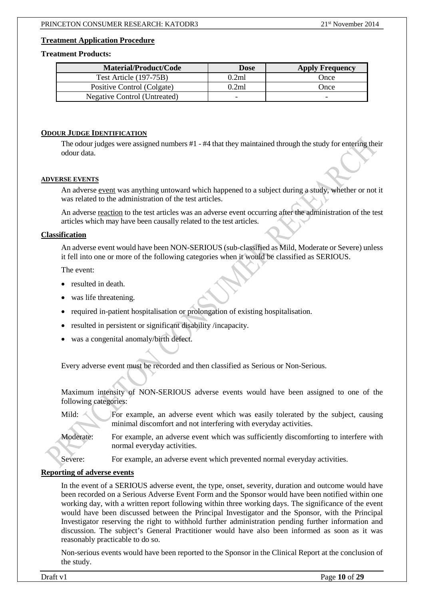## **Treatment Application Procedure**

#### **Treatment Products:**

| Material/Product/Code               | Dose                     | <b>Apply Frequency</b> |
|-------------------------------------|--------------------------|------------------------|
| Test Article (197-75B)              | 0.2ml                    | Once                   |
| Positive Control (Colgate)          | 0.2ml                    | Once                   |
| <b>Negative Control (Untreated)</b> | $\overline{\phantom{0}}$ | -                      |

## <span id="page-9-0"></span>**ODOUR JUDGE IDENTIFICATION**

The odour judges were assigned numbers #1 - #4 that they maintained through the study for entering their odour data.

#### <span id="page-9-1"></span>**ADVERSE EVENTS**

An adverse event was anything untoward which happened to a subject during a study, whether or not it was related to the administration of the test articles.

An adverse reaction to the test articles was an adverse event occurring after the administration of the test articles which may have been causally related to the test articles.

#### **Classification**

An adverse event would have been NON-SERIOUS (sub-classified as Mild, Moderate or Severe) unless it fell into one or more of the following categories when it would be classified as SERIOUS.

The event:

- resulted in death.
- was life threatening.
- required in-patient hospitalisation or prolongation of existing hospitalisation.
- resulted in persistent or significant disability /incapacity.
- was a congenital anomaly/birth defect.

Every adverse event must be recorded and then classified as Serious or Non-Serious.

Maximum intensity of NON-SERIOUS adverse events would have been assigned to one of the following categories:

Mild: For example, an adverse event which was easily tolerated by the subject, causing minimal discomfort and not interfering with everyday activities.

Moderate: For example, an adverse event which was sufficiently discomforting to interfere with normal everyday activities.

Severe: For example, an adverse event which prevented normal everyday activities.

#### **Reporting of adverse events**

In the event of a SERIOUS adverse event, the type, onset, severity, duration and outcome would have been recorded on a Serious Adverse Event Form and the Sponsor would have been notified within one working day, with a written report following within three working days. The significance of the event would have been discussed between the Principal Investigator and the Sponsor, with the Principal Investigator reserving the right to withhold further administration pending further information and discussion. The subject's General Practitioner would have also been informed as soon as it was reasonably practicable to do so.

Non-serious events would have been reported to the Sponsor in the Clinical Report at the conclusion of the study.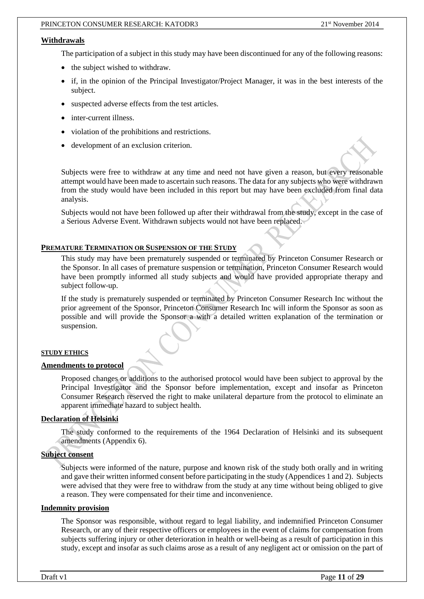#### **Withdrawals**

The participation of a subject in this study may have been discontinued for any of the following reasons:

- the subject wished to withdraw.
- if, in the opinion of the Principal Investigator/Project Manager, it was in the best interests of the subject.
- suspected adverse effects from the test articles.
- inter-current illness.
- violation of the prohibitions and restrictions.
- development of an exclusion criterion.

Subjects were free to withdraw at any time and need not have given a reason, but every reasonable attempt would have been made to ascertain such reasons. The data for any subjects who were withdrawn from the study would have been included in this report but may have been excluded from final data analysis.

Subjects would not have been followed up after their withdrawal from the study, except in the case of a Serious Adverse Event. Withdrawn subjects would not have been replaced.

#### <span id="page-10-0"></span>**PREMATURE TERMINATION OR SUSPENSION OF THE STUDY**

This study may have been prematurely suspended or terminated by Princeton Consumer Research or the Sponsor. In all cases of premature suspension or termination, Princeton Consumer Research would have been promptly informed all study subjects and would have provided appropriate therapy and subject follow-up.

If the study is prematurely suspended or terminated by Princeton Consumer Research Inc without the prior agreement of the Sponsor, Princeton Consumer Research Inc will inform the Sponsor as soon as possible and will provide the Sponsor a with a detailed written explanation of the termination or suspension.

## <span id="page-10-1"></span>**STUDY ETHICS**

#### **Amendments to protocol**

Proposed changes or additions to the authorised protocol would have been subject to approval by the Principal Investigator and the Sponsor before implementation, except and insofar as Princeton Consumer Research reserved the right to make unilateral departure from the protocol to eliminate an apparent immediate hazard to subject health.

#### **Declaration of Helsinki**

The study conformed to the requirements of the 1964 Declaration of Helsinki and its subsequent amendments (Appendix 6).

## **Subject consent**

Subjects were informed of the nature, purpose and known risk of the study both orally and in writing and gave their written informed consent before participating in the study (Appendices 1 and 2). Subjects were advised that they were free to withdraw from the study at any time without being obliged to give a reason. They were compensated for their time and inconvenience.

#### **Indemnity provision**

The Sponsor was responsible, without regard to legal liability, and indemnified Princeton Consumer Research, or any of their respective officers or employees in the event of claims for compensation from subjects suffering injury or other deterioration in health or well-being as a result of participation in this study, except and insofar as such claims arose as a result of any negligent act or omission on the part of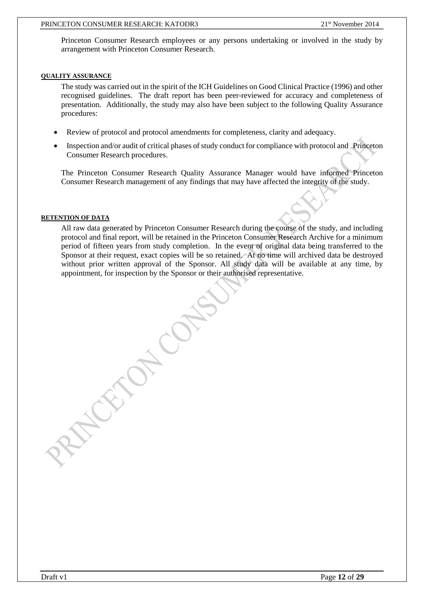#### PRINCETON CONSUMER RESEARCH: KATODR3 21st November 2014

Princeton Consumer Research employees or any persons undertaking or involved in the study by arrangement with Princeton Consumer Research.

#### <span id="page-11-0"></span>**QUALITY ASSURANCE**

The study was carried out in the spirit of the ICH Guidelines on Good Clinical Practice (1996) and other recognised guidelines. The draft report has been peer-reviewed for accuracy and completeness of presentation. Additionally, the study may also have been subject to the following Quality Assurance procedures:

- Review of protocol and protocol amendments for completeness, clarity and adequacy.
- Inspection and/or audit of critical phases of study conduct for compliance with protocol and Princeton Consumer Research procedures.

The Princeton Consumer Research Quality Assurance Manager would have informed Princeton Consumer Research management of any findings that may have affected the integrity of the study.

#### <span id="page-11-1"></span>**RETENTION OF DATA**

All raw data generated by Princeton Consumer Research during the course of the study, and including protocol and final report, will be retained in the Princeton Consumer Research Archive for a minimum period of fifteen years from study completion. In the event of original data being transferred to the Sponsor at their request, exact copies will be so retained. At no time will archived data be destroyed without prior written approval of the Sponsor. All study data will be available at any time, by appointment, for inspection by the Sponsor or their authorised representative.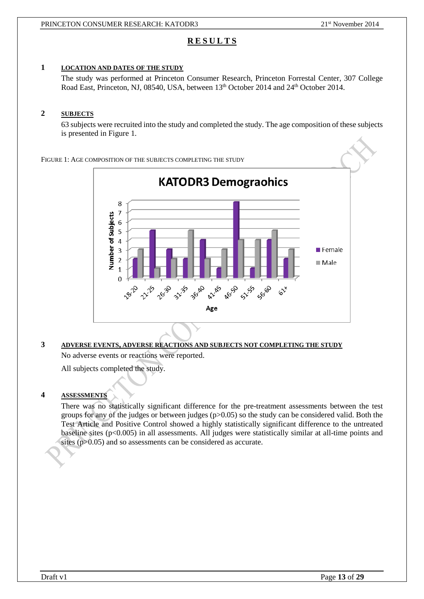## **R E S U L T S**

## <span id="page-12-1"></span><span id="page-12-0"></span>**1 LOCATION AND DATES OF THE STUDY**

The study was performed at Princeton Consumer Research, Princeton Forrestal Center, 307 College Road East, Princeton, NJ, 08540, USA, between 13<sup>th</sup> October 2014 and 24<sup>th</sup> October 2014.

## <span id="page-12-2"></span>**2 SUBJECTS**

63 subjects were recruited into the study and completed the study. The age composition of these subjects is presented in Figure 1.



## <span id="page-12-3"></span>**3 ADVERSE EVENTS, ADVERSE REACTIONS AND SUBJECTS NOT COMPLETING THE STUDY** No adverse events or reactions were reported.

All subjects completed the study.

## <span id="page-12-4"></span>**4 ASSESSMENTS**

There was no statistically significant difference for the pre-treatment assessments between the test groups for any of the judges or between judges (p>0.05) so the study can be considered valid. Both the Test Article and Positive Control showed a highly statistically significant difference to the untreated baseline sites (p<0.005) in all assessments. All judges were statistically similar at all-time points and sites (p>0.05) and so assessments can be considered as accurate.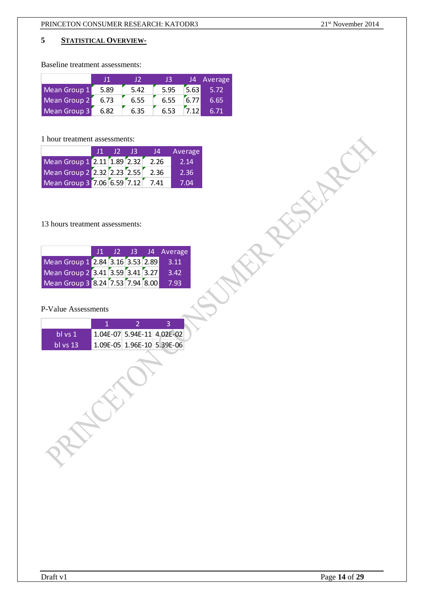## <span id="page-13-0"></span>**5 STATISTICAL OVERVIEW-**

Baseline treatment assessments:

|              |      | 12   | JЗ   | 4     | Average |
|--------------|------|------|------|-------|---------|
| Mean Group 1 | 5.89 | 5.42 | 5.95 | 5.63  | 5.72    |
| Mean Group 2 | 6.73 | 6.55 | 6.55 | 6.77  | 6.65    |
| Mean Group 3 | 6.82 | 6.35 | 6.53 | 7 1 2 | 6.71    |

<span id="page-13-1"></span>1 hour treatment assessments:

|                                  | 40 | $12 - 13$ | 4 | Average |
|----------------------------------|----|-----------|---|---------|
| Mean Group 1 2.11 1.89 2.32 2.26 |    |           |   | 2.14    |
| Mean Group 2 2.32 2.23 2.55 2.36 |    |           |   | 2.36    |
| Mean Group 3 7.06 6.59 7.12 7.41 |    |           |   | 7.04    |

<span id="page-13-2"></span>13 hours treatment assessments:

|                                       |  |  | J1 J2 J3 J4 Average |
|---------------------------------------|--|--|---------------------|
| Mean Group 1 2.84 3.16 3.53 2.89 3.11 |  |  |                     |
| Mean Group 2 3.41 3.59 3.41 3.27      |  |  | 3.42                |
| Mean Group 3 8.24 7.53 7.94 8.00      |  |  | 7.93                |

#### P-Value Assessments

| 'bl vs 1   |  | 1.04E-07 5.94E-11 4.02E-02 |
|------------|--|----------------------------|
| $bl$ vs 13 |  | 1.09E-05 1.96E-10 5.39E-06 |

ELOY

**MARKETHALLY**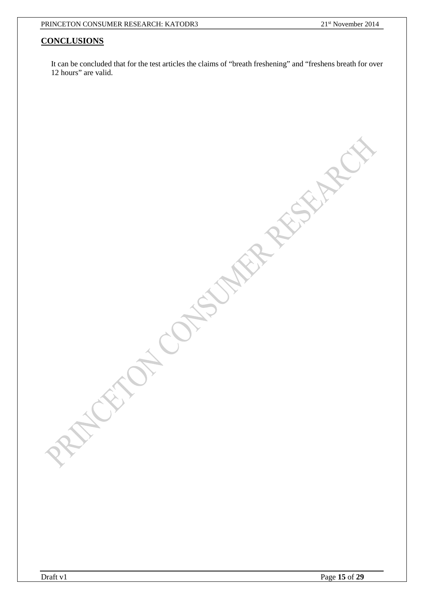## <span id="page-14-0"></span>**CONCLUSIONS**

It can be concluded that for the test articles the claims of "breath freshening" and "freshens breath for over 12 hours" are valid.

FITON CONSUMERED FREE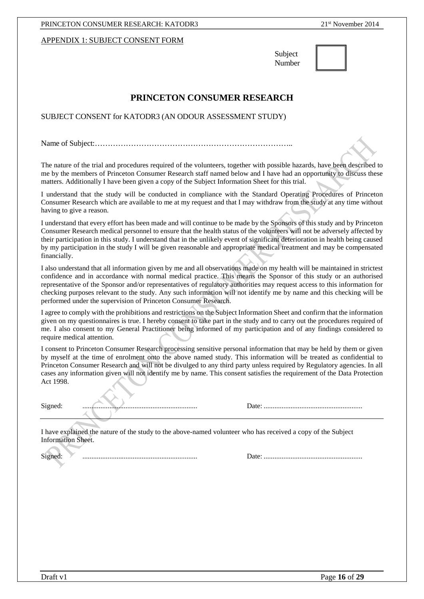#### PRINCETON CONSUMER RESEARCH: KATODR3 21st November 2014

## <span id="page-15-0"></span>APPENDIX 1: SUBJECT CONSENT FORM

Subject Number

## **PRINCETON CONSUMER RESEARCH**

## SUBJECT CONSENT for KATODR3 (AN ODOUR ASSESSMENT STUDY)

Name of Subject:…………………………………………………………………..

The nature of the trial and procedures required of the volunteers, together with possible hazards, have been described to me by the members of Princeton Consumer Research staff named below and I have had an opportunity to discuss these matters. Additionally I have been given a copy of the Subject Information Sheet for this trial.

I understand that the study will be conducted in compliance with the Standard Operating Procedures of Princeton Consumer Research which are available to me at my request and that I may withdraw from the study at any time without having to give a reason.

I understand that every effort has been made and will continue to be made by the Sponsors of this study and by Princeton Consumer Research medical personnel to ensure that the health status of the volunteers will not be adversely affected by their participation in this study. I understand that in the unlikely event of significant deterioration in health being caused by my participation in the study I will be given reasonable and appropriate medical treatment and may be compensated financially.

I also understand that all information given by me and all observations made on my health will be maintained in strictest confidence and in accordance with normal medical practice. This means the Sponsor of this study or an authorised representative of the Sponsor and/or representatives of regulatory authorities may request access to this information for checking purposes relevant to the study. Any such information will not identify me by name and this checking will be performed under the supervision of Princeton Consumer Research.

I agree to comply with the prohibitions and restrictions on the Subject Information Sheet and confirm that the information given on my questionnaires is true. I hereby consent to take part in the study and to carry out the procedures required of me. I also consent to my General Practitioner being informed of my participation and of any findings considered to require medical attention.

I consent to Princeton Consumer Research processing sensitive personal information that may be held by them or given by myself at the time of enrolment onto the above named study. This information will be treated as confidential to Princeton Consumer Research and will not be divulged to any third party unless required by Regulatory agencies. In all cases any information given will not identify me by name. This consent satisfies the requirement of the Data Protection Act 1998.

Signed: ................................................................ Date: .......................................................

I have explained the nature of the study to the above-named volunteer who has received a copy of the Subject

Information Sheet.

Signed: ................................................................ Date: .......................................................

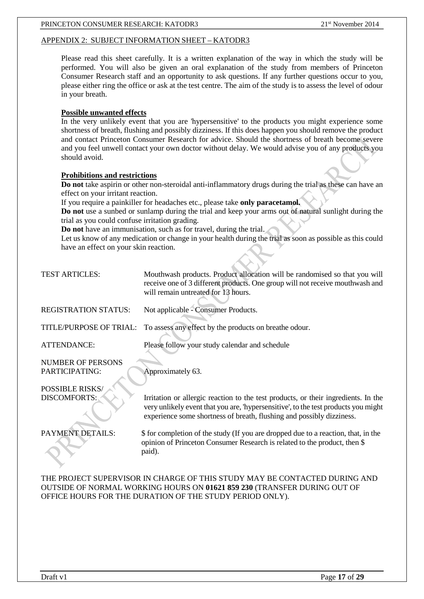## <span id="page-16-0"></span>APPENDIX 2: SUBJECT INFORMATION SHEET – KATODR3

Please read this sheet carefully. It is a written explanation of the way in which the study will be performed. You will also be given an oral explanation of the study from members of Princeton Consumer Research staff and an opportunity to ask questions. If any further questions occur to you, please either ring the office or ask at the test centre. The aim of the study is to assess the level of odour in your breath.

## **Possible unwanted effects**

In the very unlikely event that you are 'hypersensitive' to the products you might experience some shortness of breath, flushing and possibly dizziness. If this does happen you should remove the product and contact Princeton Consumer Research for advice. Should the shortness of breath become severe and you feel unwell contact your own doctor without delay. We would advise you of any products you should avoid.

## **Prohibitions and restrictions**

**Do not** take aspirin or other non-steroidal anti-inflammatory drugs during the trial as these can have an effect on your irritant reaction.

If you require a painkiller for headaches etc., please take **only paracetamol.**

**Do not** use a sunbed or sunlamp during the trial and keep your arms out of natural sunlight during the trial as you could confuse irritation grading.

**Do not** have an immunisation, such as for travel, during the trial.

Let us know of any medication or change in your health during the trial as soon as possible as this could have an effect on your skin reaction.

| <b>TEST ARTICLES:</b>                         | Mouthwash products. Product allocation will be randomised so that you will<br>receive one of 3 different products. One group will not receive mouthwash and<br>will remain untreated for 13 hours.                                                |
|-----------------------------------------------|---------------------------------------------------------------------------------------------------------------------------------------------------------------------------------------------------------------------------------------------------|
| <b>REGISTRATION STATUS:</b>                   | Not applicable - Consumer Products.                                                                                                                                                                                                               |
| <b>TITLE/PURPOSE OF TRIAL:</b>                | To assess any effect by the products on breathe odour.                                                                                                                                                                                            |
| <b>ATTENDANCE:</b>                            | Please follow your study calendar and schedule                                                                                                                                                                                                    |
| <b>NUMBER OF PERSONS</b><br>PARTICIPATING:    | Approximately 63.                                                                                                                                                                                                                                 |
| <b>POSSIBLE RISKS/</b><br><b>DISCOMFORTS:</b> | Irritation or allergic reaction to the test products, or their ingredients. In the<br>very unlikely event that you are, 'hypersensitive', to the test products you might<br>experience some shortness of breath, flushing and possibly dizziness. |
| PAYMENT DETAILS:                              | \$ for completion of the study (If you are dropped due to a reaction, that, in the<br>opinion of Princeton Consumer Research is related to the product, then \$<br>paid).                                                                         |

THE PROJECT SUPERVISOR IN CHARGE OF THIS STUDY MAY BE CONTACTED DURING AND OUTSIDE OF NORMAL WORKING HOURS ON **01621 859 230** (TRANSFER DURING OUT OF OFFICE HOURS FOR THE DURATION OF THE STUDY PERIOD ONLY).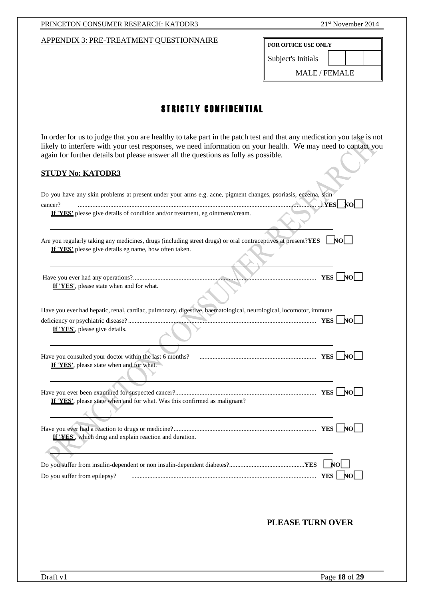## PRINCETON CONSUMER RESEARCH: KATODR3 21st November 2014

## <span id="page-17-0"></span>APPENDIX 3: PRE-TREATMENT QUESTIONNAIRE

| <b>FOR OFFICE USE ONLY</b> |  |  |  |  |
|----------------------------|--|--|--|--|
| Subject's Initials         |  |  |  |  |
| <b>MALE / FEMALE</b>       |  |  |  |  |

# **STRICTLY CONFIDENTIAL**

In order for us to judge that you are healthy to take part in the patch test and that any medication you take is not likely to interfere with your test responses, we need information on your health. We may need to contact you again for further details but please answer all the questions as fully as possible.

## **STUDY No: KATODR3**

| Do you have any skin problems at present under your arms e.g. acne, pigment changes, psoriasis, eczema, skin                                                           |              |
|------------------------------------------------------------------------------------------------------------------------------------------------------------------------|--------------|
| cancer?<br>If 'YES' please give details of condition and/or treatment, eg ointment/cream.                                                                              |              |
| Are you regularly taking any medicines, drugs (including street drugs) or oral contraceptives at present?YES<br>If 'YES' please give details eg name, how often taken. | $\lfloor$ NO |
| If 'YES', please state when and for what.                                                                                                                              |              |
| Have you ever had hepatic, renal, cardiac, pulmonary, digestive, haematological, neurological, locomotor, immune                                                       |              |
| If 'YES', please give details.                                                                                                                                         |              |
| Have you consulted your doctor within the last 6 months?<br>If 'YES', please state when and for what.                                                                  |              |
|                                                                                                                                                                        |              |
| If 'YES', please state when and for what. Was this confirmed as malignant?                                                                                             |              |
| If 'YES', which drug and explain reaction and duration.                                                                                                                |              |
| Do you suffer from epilepsy?                                                                                                                                           |              |
|                                                                                                                                                                        |              |

## **PLEASE TURN OVER**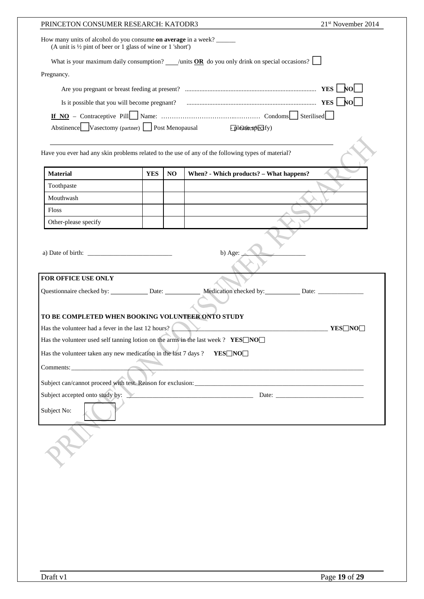| 21 <sup>st</sup> November 2014<br>PRINCETON CONSUMER RESEARCH: KATODR3                                                                                                                                                                                                                                           |    |                                                                                                        |  |  |  |
|------------------------------------------------------------------------------------------------------------------------------------------------------------------------------------------------------------------------------------------------------------------------------------------------------------------|----|--------------------------------------------------------------------------------------------------------|--|--|--|
| How many units of alcohol do you consume on average in a week?<br>(A unit is 1/2 pint of beer or 1 glass of wine or 1 'short')                                                                                                                                                                                   |    |                                                                                                        |  |  |  |
|                                                                                                                                                                                                                                                                                                                  |    | What is your maximum daily consumption? ____/units $OR$ do you only drink on special occasions? $\Box$ |  |  |  |
| Pregnancy.                                                                                                                                                                                                                                                                                                       |    |                                                                                                        |  |  |  |
|                                                                                                                                                                                                                                                                                                                  |    |                                                                                                        |  |  |  |
|                                                                                                                                                                                                                                                                                                                  |    |                                                                                                        |  |  |  |
|                                                                                                                                                                                                                                                                                                                  |    |                                                                                                        |  |  |  |
| Abstinence Vasectomy (partner) Post Menopausal Dleaster post                                                                                                                                                                                                                                                     |    |                                                                                                        |  |  |  |
|                                                                                                                                                                                                                                                                                                                  |    |                                                                                                        |  |  |  |
| Have you ever had any skin problems related to the use of any of the following types of material?                                                                                                                                                                                                                |    |                                                                                                        |  |  |  |
| <b>Material</b><br><b>YES</b>                                                                                                                                                                                                                                                                                    | NO | When? - Which products? - What happens?                                                                |  |  |  |
| Toothpaste                                                                                                                                                                                                                                                                                                       |    |                                                                                                        |  |  |  |
| Mouthwash                                                                                                                                                                                                                                                                                                        |    |                                                                                                        |  |  |  |
| Floss                                                                                                                                                                                                                                                                                                            |    |                                                                                                        |  |  |  |
| Other-please specify                                                                                                                                                                                                                                                                                             |    |                                                                                                        |  |  |  |
| a) Date of birth: $\frac{1}{2}$ birth: $\frac{1}{2}$ and $\frac{1}{2}$ and $\frac{1}{2}$ and $\frac{1}{2}$ and $\frac{1}{2}$ and $\frac{1}{2}$ and $\frac{1}{2}$ and $\frac{1}{2}$ and $\frac{1}{2}$ and $\frac{1}{2}$ and $\frac{1}{2}$ and $\frac{1}{2}$ and $\frac{1}{2}$ and $\frac{$<br>FOR OFFICE USE ONLY |    | b) Age:                                                                                                |  |  |  |
|                                                                                                                                                                                                                                                                                                                  |    |                                                                                                        |  |  |  |
| TO BE COMPLETED WHEN BOOKING VOLUNTEER ONTO STUDY                                                                                                                                                                                                                                                                |    |                                                                                                        |  |  |  |
| Has the volunteer had a fever in the last 12 hours?                                                                                                                                                                                                                                                              |    | <b>THE STATE OF STREET INCLUSION ASSESSED AT A 1999 FOR STREET INCLUSION AND RESIDENCE</b>             |  |  |  |
| Has the volunteer used self tanning lotion on the arms in the last week ? $YES\Box NO\Box$                                                                                                                                                                                                                       |    |                                                                                                        |  |  |  |
| Has the volunteer taken any new medication in the last 7 days ?                                                                                                                                                                                                                                                  |    | $YES \Box NO \Box$                                                                                     |  |  |  |
| Comments:                                                                                                                                                                                                                                                                                                        |    |                                                                                                        |  |  |  |
|                                                                                                                                                                                                                                                                                                                  |    |                                                                                                        |  |  |  |
| Subject accepted onto study by:<br><u> 1990 - Johann John Stone, mars et al. (</u>                                                                                                                                                                                                                               |    |                                                                                                        |  |  |  |
| Subject No:                                                                                                                                                                                                                                                                                                      |    |                                                                                                        |  |  |  |
|                                                                                                                                                                                                                                                                                                                  |    |                                                                                                        |  |  |  |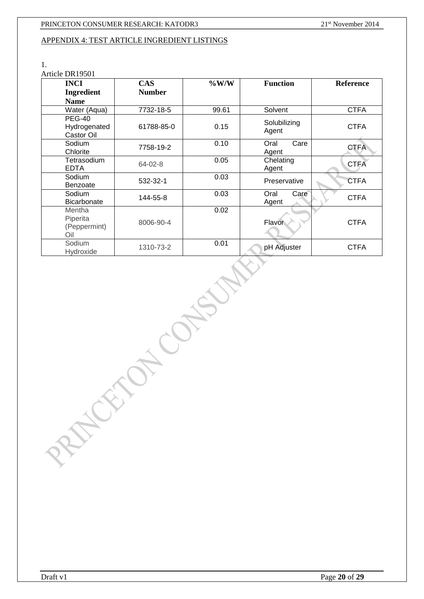## <span id="page-19-0"></span>APPENDIX 4: TEST ARTICLE INGREDIENT LISTINGS

#### 1.

## Article DR19501

| <b>INCI</b>                                 | <b>CAS</b>    | $\%$ W/W | <b>Function</b>       | <b>Reference</b> |
|---------------------------------------------|---------------|----------|-----------------------|------------------|
| Ingredient                                  | <b>Number</b> |          |                       |                  |
| <b>Name</b>                                 |               |          |                       |                  |
| Water (Aqua)                                | 7732-18-5     | 99.61    | Solvent               | <b>CTFA</b>      |
| <b>PEG-40</b><br>Hydrogenated<br>Castor Oil | 61788-85-0    | 0.15     | Solubilizing<br>Agent | <b>CTFA</b>      |
| Sodium<br>Chlorite                          | 7758-19-2     | 0.10     | Care<br>Oral<br>Agent | <b>CTFA</b>      |
| Tetrasodium<br><b>EDTA</b>                  | 64-02-8       | 0.05     | Chelating<br>Agent    | <b>CTFA</b>      |
| Sodium<br>Benzoate                          | 532-32-1      | 0.03     | Preservative          | <b>CTFA</b>      |
| Sodium<br>Bicarbonate                       | 144-55-8      | 0.03     | Care<br>Oral<br>Agent | <b>CTFA</b>      |
| Mentha<br>Piperita<br>(Peppermint)<br>Oil   | 8006-90-4     | 0.02     | Flavor                | <b>CTFA</b>      |
| Sodium<br>Hydroxide                         | 1310-73-2     | 0.01     | pH Adjuster           | <b>CTFA</b>      |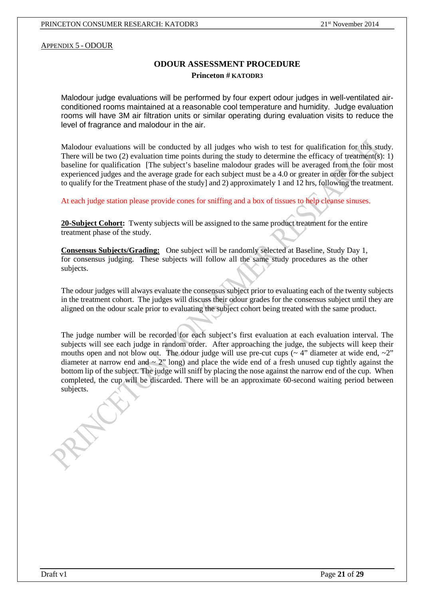<span id="page-20-0"></span>APPENDIX 5 - ODOUR

## **ODOUR ASSESSMENT PROCEDURE Princeton # KATODR3**

Malodour judge evaluations will be performed by four expert odour judges in well-ventilated airconditioned rooms maintained at a reasonable cool temperature and humidity. Judge evaluation rooms will have 3M air filtration units or similar operating during evaluation visits to reduce the level of fragrance and malodour in the air.

Malodour evaluations will be conducted by all judges who wish to test for qualification for this study. There will be two (2) evaluation time points during the study to determine the efficacy of treatment(s): 1) baseline for qualification [The subject's baseline malodour grades will be averaged from the four most experienced judges and the average grade for each subject must be a 4.0 or greater in order for the subject to qualify for the Treatment phase of the study] and 2) approximately 1 and 12 hrs, following the treatment.

At each judge station please provide cones for sniffing and a box of tissues to help cleanse sinuses.

**20-Subject Cohort:** Twenty subjects will be assigned to the same product treatment for the entire treatment phase of the study.

**Consensus Subjects/Grading:** One subject will be randomly selected at Baseline, Study Day 1, for consensus judging. These subjects will follow all the same study procedures as the other subjects.

The odour judges will always evaluate the consensus subject prior to evaluating each of the twenty subjects in the treatment cohort. The judges will discuss their odour grades for the consensus subject until they are aligned on the odour scale prior to evaluating the subject cohort being treated with the same product.

The judge number will be recorded for each subject's first evaluation at each evaluation interval. The subjects will see each judge in random order. After approaching the judge, the subjects will keep their mouths open and not blow out. The odour judge will use pre-cut cups ( $\sim$  4" diameter at wide end,  $\sim$ 2" diameter at narrow end and  $\sim$  2" long) and place the wide end of a fresh unused cup tightly against the bottom lip of the subject. The judge will sniff by placing the nose against the narrow end of the cup. When completed, the cup will be discarded. There will be an approximate 60-second waiting period between subjects.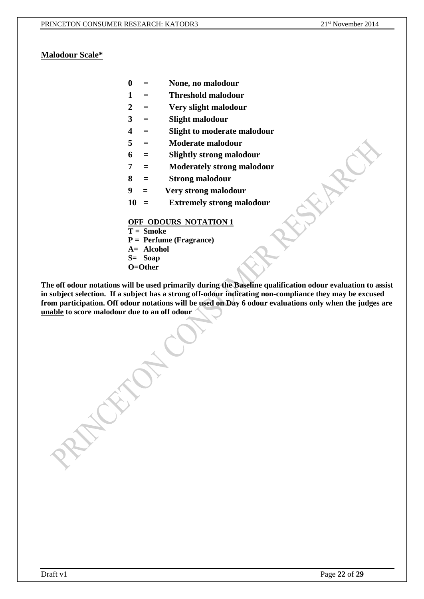## **Malodour Scale\***

- **0 = None, no malodour**
- **1 = Threshold malodour**
- **2 = Very slight malodour**
- **3 = Slight malodour**
- **4 = Slight to moderate malodour**
- **5 = Moderate malodour**
- **6 = Slightly strong malodour**
- **7 = Moderately strong malodour**
- **8 = Strong malodour**
- **9 = Very strong malodour**
- **10 = Extremely strong malodour**

## **OFF ODOURS NOTATION 1**

- **T = Smoke**
- **P = Perfume (Fragrance)**
- **A= Alcohol**
- **S= Soap**
- **O=Other**

**The off odour notations will be used primarily during the Baseline qualification odour evaluation to assist in subject selection. If a subject has a strong off-odour indicating non-compliance they may be excused from participation. Off odour notations will be used on Day 6 odour evaluations only when the judges are unable to score malodour due to an off odour**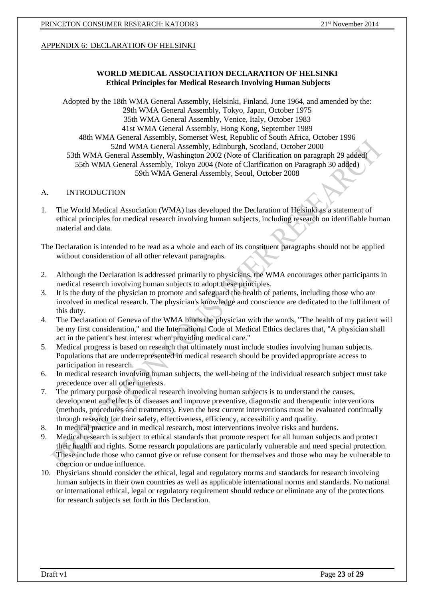## <span id="page-22-0"></span>APPENDIX 6: DECLARATION OF HELSINKI

## **WORLD MEDICAL ASSOCIATION DECLARATION OF HELSINKI Ethical Principles for Medical Research Involving Human Subjects**

Adopted by the 18th WMA General Assembly, Helsinki, Finland, June 1964, and amended by the: 29th WMA General Assembly, Tokyo, Japan, October 1975 35th WMA General Assembly, Venice, Italy, October 1983 41st WMA General Assembly, Hong Kong, September 1989 48th WMA General Assembly, Somerset West, Republic of South Africa, October 1996 52nd WMA General Assembly, Edinburgh, Scotland, October 2000 53th WMA General Assembly, Washington 2002 (Note of Clarification on paragraph 29 added) 55th WMA General Assembly, Tokyo 2004 (Note of Clarification on Paragraph 30 added) 59th WMA General Assembly, Seoul, October 2008

## A. INTRODUCTION

- 1. The World Medical Association (WMA) has developed the Declaration of Helsinki as a statement of ethical principles for medical research involving human subjects, including research on identifiable human material and data.
- The Declaration is intended to be read as a whole and each of its constituent paragraphs should not be applied without consideration of all other relevant paragraphs.
- 2. Although the Declaration is addressed primarily to physicians, the WMA encourages other participants in medical research involving human subjects to adopt these principles.
- 3. It is the duty of the physician to promote and safeguard the health of patients, including those who are involved in medical research. The physician's knowledge and conscience are dedicated to the fulfilment of this duty.
- 4. The Declaration of Geneva of the WMA binds the physician with the words, "The health of my patient will be my first consideration," and the International Code of Medical Ethics declares that, "A physician shall act in the patient's best interest when providing medical care."
- 5. Medical progress is based on research that ultimately must include studies involving human subjects. Populations that are underrepresented in medical research should be provided appropriate access to participation in research.
- 6. In medical research involving human subjects, the well-being of the individual research subject must take precedence over all other interests.
- 7. The primary purpose of medical research involving human subjects is to understand the causes, development and effects of diseases and improve preventive, diagnostic and therapeutic interventions (methods, procedures and treatments). Even the best current interventions must be evaluated continually through research for their safety, effectiveness, efficiency, accessibility and quality.
- 8. In medical practice and in medical research, most interventions involve risks and burdens.
- 9. Medical research is subject to ethical standards that promote respect for all human subjects and protect their health and rights. Some research populations are particularly vulnerable and need special protection. These include those who cannot give or refuse consent for themselves and those who may be vulnerable to coercion or undue influence.
- 10. Physicians should consider the ethical, legal and regulatory norms and standards for research involving human subjects in their own countries as well as applicable international norms and standards. No national or international ethical, legal or regulatory requirement should reduce or eliminate any of the protections for research subjects set forth in this Declaration.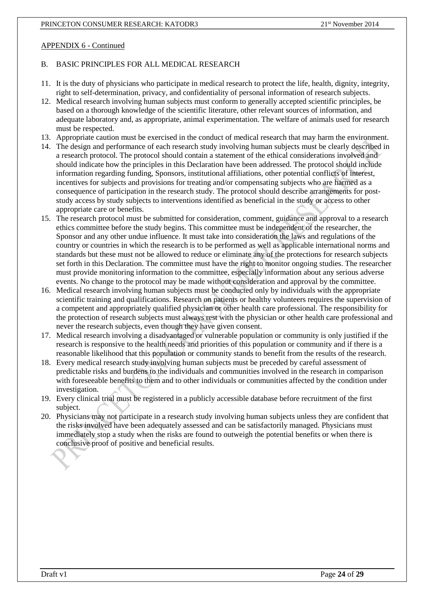## APPENDIX 6 - Continued

## B. BASIC PRINCIPLES FOR ALL MEDICAL RESEARCH

- 11. It is the duty of physicians who participate in medical research to protect the life, health, dignity, integrity, right to self-determination, privacy, and confidentiality of personal information of research subjects.
- 12. Medical research involving human subjects must conform to generally accepted scientific principles, be based on a thorough knowledge of the scientific literature, other relevant sources of information, and adequate laboratory and, as appropriate, animal experimentation. The welfare of animals used for research must be respected.
- 13. Appropriate caution must be exercised in the conduct of medical research that may harm the environment.
- 14. The design and performance of each research study involving human subjects must be clearly described in a research protocol. The protocol should contain a statement of the ethical considerations involved and should indicate how the principles in this Declaration have been addressed. The protocol should include information regarding funding, Sponsors, institutional affiliations, other potential conflicts of interest, incentives for subjects and provisions for treating and/or compensating subjects who are harmed as a consequence of participation in the research study. The protocol should describe arrangements for poststudy access by study subjects to interventions identified as beneficial in the study or access to other appropriate care or benefits.
- 15. The research protocol must be submitted for consideration, comment, guidance and approval to a research ethics committee before the study begins. This committee must be independent of the researcher, the Sponsor and any other undue influence. It must take into consideration the laws and regulations of the country or countries in which the research is to be performed as well as applicable international norms and standards but these must not be allowed to reduce or eliminate any of the protections for research subjects set forth in this Declaration. The committee must have the right to monitor ongoing studies. The researcher must provide monitoring information to the committee, especially information about any serious adverse events. No change to the protocol may be made without consideration and approval by the committee.
- 16. Medical research involving human subjects must be conducted only by individuals with the appropriate scientific training and qualifications. Research on patients or healthy volunteers requires the supervision of a competent and appropriately qualified physician or other health care professional. The responsibility for the protection of research subjects must always rest with the physician or other health care professional and never the research subjects, even though they have given consent.
- 17. Medical research involving a disadvantaged or vulnerable population or community is only justified if the research is responsive to the health needs and priorities of this population or community and if there is a reasonable likelihood that this population or community stands to benefit from the results of the research.
- 18. Every medical research study involving human subjects must be preceded by careful assessment of predictable risks and burdens to the individuals and communities involved in the research in comparison with foreseeable benefits to them and to other individuals or communities affected by the condition under investigation.
- 19. Every clinical trial must be registered in a publicly accessible database before recruitment of the first subject.
- 20. Physicians may not participate in a research study involving human subjects unless they are confident that the risks involved have been adequately assessed and can be satisfactorily managed. Physicians must immediately stop a study when the risks are found to outweigh the potential benefits or when there is conclusive proof of positive and beneficial results.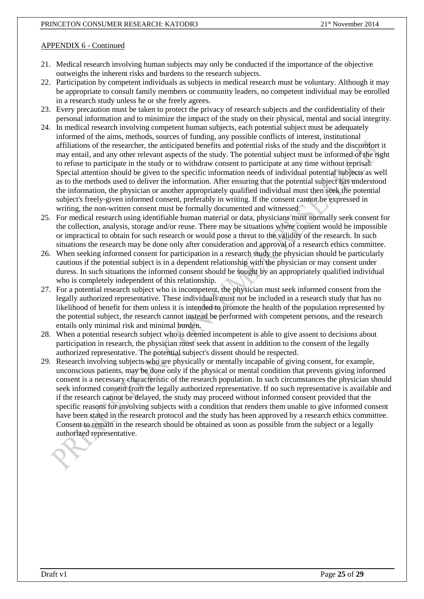## APPENDIX 6 - Continued

- 21. Medical research involving human subjects may only be conducted if the importance of the objective outweighs the inherent risks and burdens to the research subjects.
- 22. Participation by competent individuals as subjects in medical research must be voluntary. Although it may be appropriate to consult family members or community leaders, no competent individual may be enrolled in a research study unless he or she freely agrees.
- 23. Every precaution must be taken to protect the privacy of research subjects and the confidentiality of their personal information and to minimize the impact of the study on their physical, mental and social integrity.
- 24. In medical research involving competent human subjects, each potential subject must be adequately informed of the aims, methods, sources of funding, any possible conflicts of interest, institutional affiliations of the researcher, the anticipated benefits and potential risks of the study and the discomfort it may entail, and any other relevant aspects of the study. The potential subject must be informed of the right to refuse to participate in the study or to withdraw consent to participate at any time without reprisal. Special attention should be given to the specific information needs of individual potential subjects as well as to the methods used to deliver the information. After ensuring that the potential subject has understood the information, the physician or another appropriately qualified individual must then seek the potential subject's freely-given informed consent, preferably in writing. If the consent cannot be expressed in writing, the non-written consent must be formally documented and witnessed.
- 25. For medical research using identifiable human material or data, physicians must normally seek consent for the collection, analysis, storage and/or reuse. There may be situations where consent would be impossible or impractical to obtain for such research or would pose a threat to the validity of the research. In such situations the research may be done only after consideration and approval of a research ethics committee.
- 26. When seeking informed consent for participation in a research study the physician should be particularly cautious if the potential subject is in a dependent relationship with the physician or may consent under duress. In such situations the informed consent should be sought by an appropriately qualified individual who is completely independent of this relationship.
- 27. For a potential research subject who is incompetent, the physician must seek informed consent from the legally authorized representative. These individuals must not be included in a research study that has no likelihood of benefit for them unless it is intended to promote the health of the population represented by the potential subject, the research cannot instead be performed with competent persons, and the research entails only minimal risk and minimal burden.
- 28. When a potential research subject who is deemed incompetent is able to give assent to decisions about participation in research, the physician must seek that assent in addition to the consent of the legally authorized representative. The potential subject's dissent should be respected.
- 29. Research involving subjects who are physically or mentally incapable of giving consent, for example, unconscious patients, may be done only if the physical or mental condition that prevents giving informed consent is a necessary characteristic of the research population. In such circumstances the physician should seek informed consent from the legally authorized representative. If no such representative is available and if the research cannot be delayed, the study may proceed without informed consent provided that the specific reasons for involving subjects with a condition that renders them unable to give informed consent have been stated in the research protocol and the study has been approved by a research ethics committee. Consent to remain in the research should be obtained as soon as possible from the subject or a legally authorized representative.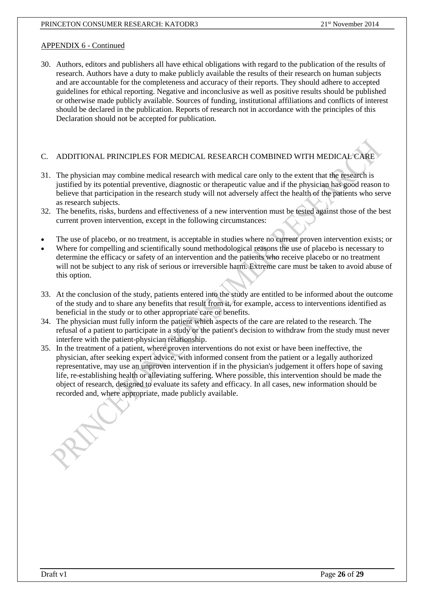#### APPENDIX 6 - Continued

30. Authors, editors and publishers all have ethical obligations with regard to the publication of the results of research. Authors have a duty to make publicly available the results of their research on human subjects and are accountable for the completeness and accuracy of their reports. They should adhere to accepted guidelines for ethical reporting. Negative and inconclusive as well as positive results should be published or otherwise made publicly available. Sources of funding, institutional affiliations and conflicts of interest should be declared in the publication. Reports of research not in accordance with the principles of this Declaration should not be accepted for publication.

## C. ADDITIONAL PRINCIPLES FOR MEDICAL RESEARCH COMBINED WITH MEDICAL CARE

- 31. The physician may combine medical research with medical care only to the extent that the research is justified by its potential preventive, diagnostic or therapeutic value and if the physician has good reason to believe that participation in the research study will not adversely affect the health of the patients who serve as research subjects.
- 32. The benefits, risks, burdens and effectiveness of a new intervention must be tested against those of the best current proven intervention, except in the following circumstances:
- The use of placebo, or no treatment, is acceptable in studies where no current proven intervention exists; or
- Where for compelling and scientifically sound methodological reasons the use of placebo is necessary to determine the efficacy or safety of an intervention and the patients who receive placebo or no treatment will not be subject to any risk of serious or irreversible harm. Extreme care must be taken to avoid abuse of this option.
- 33. At the conclusion of the study, patients entered into the study are entitled to be informed about the outcome of the study and to share any benefits that result from it, for example, access to interventions identified as beneficial in the study or to other appropriate care or benefits.
- 34. The physician must fully inform the patient which aspects of the care are related to the research. The refusal of a patient to participate in a study or the patient's decision to withdraw from the study must never interfere with the patient-physician relationship.
- 35. In the treatment of a patient, where proven interventions do not exist or have been ineffective, the physician, after seeking expert advice, with informed consent from the patient or a legally authorized representative, may use an unproven intervention if in the physician's judgement it offers hope of saving life, re-establishing health or alleviating suffering. Where possible, this intervention should be made the object of research, designed to evaluate its safety and efficacy. In all cases, new information should be recorded and, where appropriate, made publicly available.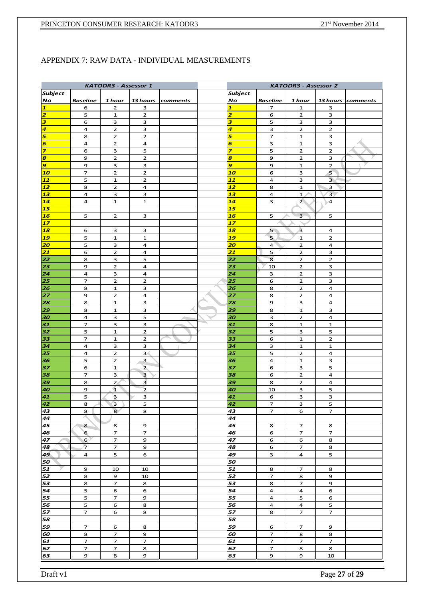## <span id="page-26-0"></span>APPENDIX 7: RAW DATA - INDIVIDUAL MEASUREMENTS

|                         |                          | <b>KATODR3 - Assessor 1</b> |                |          | <b>KATODR3 - Assessor 2</b> |                          |                          |                          |                   |
|-------------------------|--------------------------|-----------------------------|----------------|----------|-----------------------------|--------------------------|--------------------------|--------------------------|-------------------|
| <b>Subject</b>          |                          |                             |                |          | <b>Subject</b>              |                          |                          |                          |                   |
| No                      | <b>Baseline</b>          | 1 hour                      | 13 hours       | comments | No                          | <b>Baseline</b>          | 1 hour                   |                          | 13 hours comments |
| $\mathbf{1}$            | 6                        | 2                           | 3              |          | $\mathbf{1}$                | 7                        | 1                        | 3                        |                   |
| $\overline{\mathbf{z}}$ | 5                        | $\mathbf{1}$                | $\overline{2}$ |          | 2                           | 6                        | $\overline{2}$           | 3                        |                   |
| 3                       | 6                        | 3                           | 3              |          | 3                           | 5                        | 3                        | 3                        |                   |
| 4                       | 4                        | $\overline{2}$              | 3              |          | 4                           | 3                        | $\overline{2}$           | $\overline{2}$           |                   |
| 5                       | 8                        | $\overline{2}$              | $\overline{2}$ |          | 5                           | 7                        | $\mathbf{1}$             | 3                        |                   |
| 6                       | $\overline{4}$           | $\overline{2}$              | 4              |          | 6                           | 3                        | $\mathbf{1}$             | 3                        |                   |
| $\overline{\mathbf{z}}$ | 6                        |                             |                |          | $\overline{\mathbf{z}}$     |                          |                          |                          |                   |
|                         |                          | 3                           | 5              |          |                             | 5                        | $\overline{2}$           | $\overline{2}$           |                   |
| 8                       | $\mathbf 9$              | $\overline{2}$              | $\overline{2}$ |          | 8                           | 9                        | $\overline{2}$           | 3                        |                   |
| 9                       | 9                        | 3                           | 3              |          | 9                           | 9                        | $\mathbf{1}$             | $\overline{2}$           |                   |
| 10                      | $\overline{7}$           | $\overline{2}$              | $\overline{2}$ |          | 10                          | 6                        | 3                        | 5                        |                   |
| 11                      | 5                        | $\mathbf{1}$                | $\overline{2}$ |          | 11                          | 4                        | 3                        | 3                        |                   |
| <u> 12</u>              | 8                        | $\overline{2}$              | 4              |          | 12                          | 8                        | $\mathbf{1}$             | 3                        |                   |
| 13                      | 4                        | з                           | 3              |          | 13                          | 4                        | $\mathbf{1}$             | 3                        |                   |
| 14                      | $\overline{a}$           | $\mathbf{1}$                | $\mathbf{1}$   |          | 14                          | 3                        | $\overline{2}$           | $\overline{\mathbf{4}}$  |                   |
| 15                      |                          |                             |                |          | 15                          |                          |                          |                          |                   |
| 16                      | 5                        | $\overline{2}$              | 3              |          | 16                          | 5                        | 3                        | 5                        |                   |
| 17                      |                          |                             |                |          | 17                          |                          |                          |                          |                   |
| 18                      | 6                        | 3                           | 3              |          | 18                          | 5                        | 3                        | 4                        |                   |
| 19                      | 5                        | $\mathbf{1}$                | $\mathbf{1}$   |          | 19                          | 5                        | $\mathbf{1}$             | $\overline{2}$           |                   |
| 20                      | 5                        | 3                           | 4              |          | 20                          | 4                        | $\overline{2}$           | 4                        |                   |
| 21                      | 6                        | $\mathbf 2$                 | 4              |          | 21                          | 5                        | $\overline{2}$           | 3                        |                   |
| 22                      | 8                        | 3                           | 5              |          | 22                          | $\bf8$                   | $\overline{2}$           | $\overline{2}$           |                   |
| 23                      | 9                        | $\overline{2}$              | 4              |          | 23                          | 10                       | $\overline{2}$           | 3                        |                   |
| 24                      | 4                        | 3                           | 4              |          | 24                          | 3                        | $\overline{2}$           | 3                        |                   |
| 25                      | $\overline{z}$           | $\overline{2}$              | $\overline{2}$ |          | 25                          | 6                        | $\overline{2}$           | 3                        |                   |
| 26                      | 8                        | $\mathbf{1}$                | 3              |          | 26                          | 8                        | $\overline{2}$           | 4                        |                   |
|                         |                          |                             |                |          |                             |                          |                          |                          |                   |
| 27                      | 9                        | $\overline{2}$              | 4              |          | 27                          | 8                        | $\overline{2}$           | 4                        |                   |
| 28                      | 8                        | $\mathbf 1$                 | 3              |          | 28                          | 9                        | 3                        | 4                        |                   |
| 29                      | 8                        | $\mathbf{1}$                | 3              |          | 29                          | 8                        | $\mathbf{1}$             | 3                        |                   |
| 30                      | 4                        | 3                           | 5              |          | 30                          | з                        | $\overline{2}$           | 4                        |                   |
| 31                      | 7                        | 3                           | 3              |          | 31                          | 8                        | $\mathbf{1}$             | ${\bf 1}$                |                   |
| 32                      | 5                        | $\mathbf{1}$                | $\overline{2}$ |          | 32                          | 5                        | 3                        | 5                        |                   |
| 33                      | 7                        | $\mathbf{1}$                | $\overline{2}$ |          | 33                          | 6                        | $\mathbf{1}$             | $\overline{2}$           |                   |
| 34                      | 4                        | 3                           | 3              |          | 34                          | 3                        | $\mathbf{1}$             | $\mathbf{1}$             |                   |
| 35                      | $\overline{a}$           | $\overline{2}$              | 3 <sup>2</sup> |          | 35                          | 5                        | $\overline{2}$           | 4                        |                   |
| 36                      | 5                        | $\mathbf{2}$                | 3              |          | 36                          | 4                        | $\mathbf{1}$             | 3                        |                   |
| 37                      | 6                        | $\mathbf{1}$                | $\overline{2}$ |          | 37                          | 6                        | 3                        | 5                        |                   |
| 38                      | $\overline{z}$           | $\ensuremath{\mathsf{3}}$   | з              |          | 38                          | 6                        | $\overline{2}$           | 4                        |                   |
| 39                      | 8                        | $\overline{2}$              | 3              |          | 39                          | 8                        | $\overline{2}$           | 4                        |                   |
| 40                      | $\mathsf 9$              | $\mathbf{1}$                | $\overline{2}$ |          | 40                          | 10                       | 3                        | 5                        |                   |
| 41                      | 5                        | З                           | 3              |          | 41                          | 6                        | 3                        | 3                        |                   |
| 42                      | 8                        | 3                           | ${\mathbf 5}$  |          | 42                          | 7                        | 3                        | 5                        |                   |
| 43                      | 8                        | $\overline{8}$              | 8              |          | 43                          | $\overline{\phantom{a}}$ | $\,$ 6                   | $\overline{\mathbf{z}}$  |                   |
| 44                      |                          |                             |                |          | 44                          |                          |                          |                          |                   |
| 45                      | 8                        | 8                           | $\mathbf 9$    |          | $\overline{45}$             | 8                        | $\overline{7}$           | 8                        |                   |
| 46                      | 6                        | $\overline{\phantom{a}}$    | $\overline{7}$ |          | 46                          | 6                        | $\overline{7}$           | $\overline{7}$           |                   |
| 47                      | 6.                       | 7                           | 9              |          | 47                          | 6                        | 6                        | 8                        |                   |
| 48                      | 7                        | $\overline{\phantom{a}}$    | $\mathbf 9$    |          | 48                          | $\boldsymbol{6}$         | $\overline{\mathbf{z}}$  | $\bf8$                   |                   |
| 49                      | $\pmb{4}$                | 5                           | 6              |          | 49                          | 3                        | $\overline{\mathbf{4}}$  | $\overline{\mathbf{5}}$  |                   |
| 50                      |                          |                             |                |          | 50                          |                          |                          |                          |                   |
| 51                      | 9                        | 10                          | 10             |          | 51                          | 8                        | $\overline{7}$           | 8                        |                   |
| 52                      | 8                        | 9                           | 10             |          | 52                          | $\overline{\phantom{a}}$ | 8                        | $\mathbf 9$              |                   |
| 53                      | $\bf8$                   | $\overline{\phantom{a}}$    | 8              |          | 53                          | 8                        | $\overline{7}$           | $\mathbf 9$              |                   |
| 54                      | 5                        | $\mathsf 6$                 | $\overline{6}$ |          | 54                          | 4                        | $\overline{4}$           | $\,$ 6 $\,$              |                   |
| 55                      | 5                        | $\overline{7}$              | $\mathbf 9$    |          | $\overline{55}$             | 4                        | 5                        | 6                        |                   |
| 56                      | 5                        |                             |                |          | 56                          |                          |                          |                          |                   |
|                         |                          | 6                           | $\bf8$         |          |                             | 4                        | $\overline{\mathbf{4}}$  | 5                        |                   |
| 57                      | $\overline{7}$           | 6                           | 8              |          | 57                          | 8                        | 7                        | $\overline{7}$           |                   |
| 58                      |                          |                             |                |          | 58                          |                          |                          |                          |                   |
| 59                      | $\overline{\phantom{a}}$ | 6                           | 8              |          | 59                          | 6                        | $\overline{\phantom{a}}$ | $\mathbf 9$              |                   |
| 60                      | 8                        | $\overline{z}$              | 9              |          | 60                          | $\overline{z}$           | 8                        | 8                        |                   |
| 61                      | $\overline{7}$           | $\overline{7}$              | $\overline{7}$ |          | 61                          | $\overline{\mathbf{z}}$  | $\overline{7}$           | $\overline{\phantom{a}}$ |                   |
| 62                      | $\overline{\mathbf{z}}$  | $\overline{\phantom{a}}$    | $\bf8$         |          | 62                          | $\overline{\phantom{a}}$ | 8                        | $\bf8$                   |                   |
| 63                      | 9                        | 8                           | $\mathbf 9$    |          | 63                          | $\mathbf 9$              | 9                        | 10                       |                   |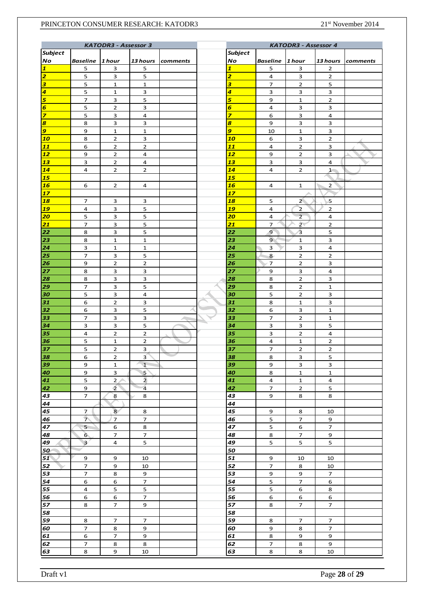## PRINCETON CONSUMER RESEARCH: KATODR3 21st November 2014

|                         |                         | <b>KATODR3 - Assessor 3</b> |                          |          | <b>KATODR3 - Assessor 4</b> |                          |                           |                         |          |  |
|-------------------------|-------------------------|-----------------------------|--------------------------|----------|-----------------------------|--------------------------|---------------------------|-------------------------|----------|--|
| <b>Subject</b>          |                         |                             |                          |          | <b>Subject</b>              |                          |                           |                         |          |  |
| No                      | Baseline 1 hour         |                             | 13 hours                 | comments | No                          | Baseline 1 hour          |                           | 13 hours                | comments |  |
| $\mathbf{1}$            | 5                       | 3                           | 5                        |          | $\mathbf{1}$                | 5                        | 3                         | $\overline{2}$          |          |  |
| $\overline{\mathbf{z}}$ | 5                       | 3                           | 5                        |          | $\overline{2}$              | 4                        | 3                         | $\overline{2}$          |          |  |
| 3                       | 5                       | $\mathbf{1}$                | $\mathbf{1}$             |          | 3                           | $\overline{7}$           | 2                         | 5                       |          |  |
|                         | 5                       |                             |                          |          | 4                           |                          |                           | 3                       |          |  |
| 4                       |                         | $\mathbf{1}$                | 3                        |          |                             | 3                        | 3                         |                         |          |  |
| 5                       | 7                       | 3                           | 5                        |          | 5                           | 9                        | $\mathbf{1}$              | $\overline{2}$          |          |  |
| 6                       | 5                       | $\mathbf 2$                 | 3                        |          | 6                           | 4                        | 3                         | 3                       |          |  |
| 7                       | 5                       | 3                           | 4                        |          | 7                           | 6                        | 3                         | 4                       |          |  |
| 8                       | 8                       | 3                           | 3                        |          | 8                           | 9                        | 3                         | 3                       |          |  |
| $\boldsymbol{g}$        | 9                       | $\mathbf{1}$                | $\mathbf{1}$             |          | 9                           | 10                       | $\mathbf 1$               | 3                       |          |  |
| 10                      | 8                       | $\mathbf 2$                 | 3                        |          | 10                          | $\,$ 6                   | 3                         | $\mathbf 2$             |          |  |
| 11                      | 6                       | $\mathbf 2$                 | $\overline{2}$           |          | 11                          | 4                        | $\overline{2}$            | 3                       |          |  |
| <u>12</u>               | 9                       | $\mathbf 2$                 | 4                        |          | 12                          | 9                        | 2                         | 3                       |          |  |
| 13                      | $\mathbf{3}$            | $\mathbf 2$                 | 4                        |          | 13                          | 3                        | 3                         | 4                       |          |  |
| 14                      | 4                       | $\overline{2}$              |                          |          | 14                          | 4                        | $\overline{2}$            |                         |          |  |
|                         |                         |                             | $\overline{2}$           |          |                             |                          |                           | $1^{-}$                 |          |  |
| 15                      |                         |                             |                          |          | 15                          |                          |                           |                         |          |  |
| 16                      | 6                       | $\overline{2}$              | 4                        |          | 16                          | 4                        | 1                         | $\overline{2}$          |          |  |
| 17                      |                         |                             |                          |          | 17                          |                          |                           |                         |          |  |
| 18                      | 7                       | 3                           | 3                        |          | 18                          | 5                        | $\mathbf{2}$              | 5                       |          |  |
| 19                      | 4                       | $\ensuremath{\mathsf{3}}$   | 5                        |          | 19                          | 4                        | 2                         | $\overline{2}$          |          |  |
| 20                      | 5                       | 3                           | 5                        |          | 20                          | 4                        | $\overline{2}$            | $\overline{4}$          |          |  |
| 21                      | $\overline{7}$          | $\mathsf 3$                 | 5                        |          | 21                          | $\overline{7}$           | $\geq$                    | $\overline{2}$          |          |  |
| 22                      | 8                       | $\ensuremath{\mathsf{3}}$   | 5                        |          | 22                          | $\mathbf{9}$             | $\overline{\mathbf{3}}$   | 5                       |          |  |
| 23                      | 8                       | ${\bf 1}$                   |                          |          | 23                          | 9                        | 1                         | 3                       |          |  |
|                         |                         |                             | $\mathbf{1}$             |          |                             |                          |                           |                         |          |  |
| $\overline{24}$         | 3                       | ${\bf 1}$                   | 1                        |          | 24                          | 3                        | 3                         | 4                       |          |  |
| 25                      | $\overline{7}$          | 3                           | 5                        |          | 25                          | 8                        | $\overline{2}$            | $\overline{2}$          |          |  |
| 26                      | 9                       | $\overline{2}$              | $\overline{2}$           |          | 26                          | 7                        | 2                         | 3                       |          |  |
| 27                      | 8                       | $\mathsf 3$                 | 3                        |          | 27                          | 9                        | 3                         | $\overline{\mathbf{4}}$ |          |  |
| 28                      | 8                       | 3                           | 3                        |          | 28                          | 8                        | $\overline{2}$            | 3                       |          |  |
| 29                      | 7                       | 3                           | 5                        |          | 29                          | 8                        | 2                         | 1                       |          |  |
| 30                      | 5                       | $\ensuremath{\mathsf{3}}$   | 4                        |          | 30                          | 5                        | 2                         | 3                       |          |  |
| 31                      | 6                       | $\overline{2}$              | 3                        |          | 31                          | 8                        | 1                         | 3                       |          |  |
| 32                      | 6                       | 3                           | 5                        |          | 32                          | 6                        | 3                         | $\mathbf 1$             |          |  |
|                         |                         |                             |                          |          |                             |                          |                           |                         |          |  |
| 33                      | $\overline{7}$          | $\mathsf 3$                 | $\mathbf{3}$             |          | 33                          | $\overline{\phantom{a}}$ | $\mathbf 2$               | $\mathbf{1}$            |          |  |
| 34                      | 3                       | 3                           | 5                        |          | 34                          | 3                        | 3                         | 5                       |          |  |
| 35                      | 4                       | $\mathbf 2$                 | $\overline{2}$           |          | 35                          | 3                        | $\overline{2}$            | 4                       |          |  |
| 36                      | 5                       | ${\bf 1}$                   | $\overline{2}$           |          | 36                          | 4                        | 1                         | $\overline{2}$          |          |  |
| 37                      | 5                       | $\overline{2}$              | 3                        |          | 37                          | $\overline{7}$           | $\overline{2}$            | $\overline{2}$          |          |  |
| 38                      | 6                       | $\overline{2}$              | $\mathbf{3}^{\prime}$    |          | 38                          | 8                        | 3                         | 5                       |          |  |
| 39                      | 9                       | $\mathbf{1}$                | $\mathbf{1}$             |          | 39                          | 9                        | $\ensuremath{\mathsf{3}}$ | 3                       |          |  |
| 40                      | 9                       | 3                           | $\overline{5}$           |          | 40                          | 8                        | $\mathbf 1$               | $\mathbf{1}$            |          |  |
| 41                      | 5                       | $2 \nightharpoonup$         | $\overline{a}$           |          | 41                          | $\overline{\mathbf{4}}$  | $\mathbf{1}$              | $\overline{\mathbf{4}}$ |          |  |
| 42                      | 9                       | $\overline{2}$              | $\overline{4}$           |          | 42                          | $\overline{7}$           |                           | 5                       |          |  |
|                         |                         |                             |                          |          |                             |                          | $\mathbf{2}$              |                         |          |  |
| 43                      | $\overline{7}$          | $\overline{\bf 8}$          | 8                        |          | 43                          | 9                        | 8                         | 8                       |          |  |
| 44                      |                         |                             |                          |          | 44                          |                          |                           |                         |          |  |
| 45                      | $\overline{Z}$          | 8 <sup>2</sup>              | 8                        |          | 45                          | 9                        | 8                         | 10                      |          |  |
| 46                      | 7.                      | $\boldsymbol{7}$            | $\overline{7}$           |          | 46                          | 5                        | $\boldsymbol{7}$          | 9                       |          |  |
| 47                      | 5                       | 6                           | 8                        |          | 47                          | $\sf 5$                  | 6                         | $\overline{7}$          |          |  |
| 48                      | 6 <sub>1</sub>          | 7                           | 7                        |          | 48                          | 8                        | 7                         | 9                       |          |  |
| 49                      | $\mathbf{B}$            | $\overline{4}$              | 5                        |          | 49                          | 5                        | 5                         | 5                       |          |  |
| 50                      |                         |                             |                          |          | 50                          |                          |                           |                         |          |  |
| 51                      | 9                       | 9                           | 10                       |          | 51                          | 9                        | 10                        | 10                      |          |  |
| 52                      | $\overline{7}$          | 9                           | $10\,$                   |          | 52                          | $\overline{7}$           | 8                         | 10                      |          |  |
|                         |                         |                             |                          |          |                             |                          |                           |                         |          |  |
| 53                      | $\overline{z}$          | 8                           | $\overline{9}$           |          | 53                          | $\overline{9}$           | 9                         | $\overline{7}$          |          |  |
| 54                      | 6                       | $\,$ 6                      | $\overline{7}$           |          | 54                          | 5                        | $\overline{7}$            | $\boldsymbol{6}$        |          |  |
| 55                      | $\overline{\mathbf{4}}$ | 5                           | 5                        |          | 55                          | 5                        | 6                         | 8                       |          |  |
| 56                      | $\,$ 6 $\,$             | $\,$ 6 $\,$                 | $\overline{\phantom{a}}$ |          | 56                          | $\,$ 6 $\,$              | $\,$ 6 $\,$               | 6                       |          |  |
| 57                      | 8                       | $\overline{\mathbf{z}}$     | 9                        |          | 57                          | 8                        | $\overline{7}$            | $\overline{7}$          |          |  |
| 58                      |                         |                             |                          |          | 58                          |                          |                           |                         |          |  |
| 59                      | 8                       | $\overline{7}$              | $\overline{7}$           |          | 59                          | 8                        | 7                         | $\boldsymbol{7}$        |          |  |
| 60                      | $\overline{7}$          | 8                           | 9                        |          | 60                          | 9                        | 8                         | $\overline{7}$          |          |  |
| 61                      | $\mathbf 6$             | $\overline{\mathbf{7}}$     | 9                        |          | 61                          | 8                        | 9                         | 9                       |          |  |
|                         |                         |                             |                          |          |                             |                          |                           |                         |          |  |
| 62                      | $\overline{7}$          | 8                           | 8                        |          | 62                          | $\overline{7}$           | 8                         | 9                       |          |  |
| 63                      | 8                       | 9                           | $10\,$                   |          | 63                          | 8                        | 8                         | $10\,$                  |          |  |